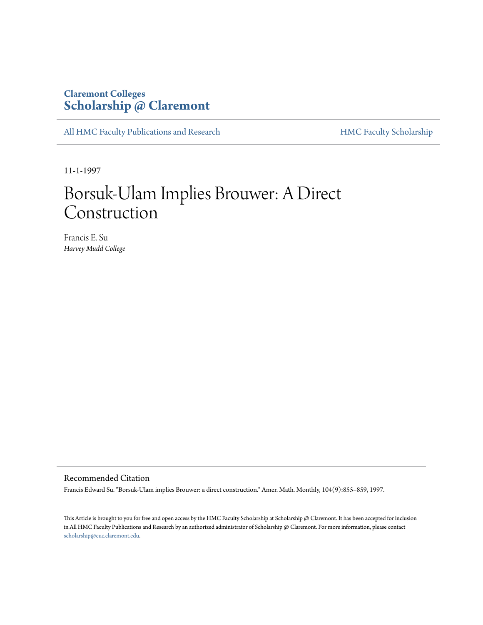### **Claremont Colleges [Scholarship @ Claremont](http://scholarship.claremont.edu)**

[All HMC Faculty Publications and Research](http://scholarship.claremont.edu/hmc_fac_pub) [HMC Faculty Scholarship](http://scholarship.claremont.edu/hmc_faculty)

11-1-1997

# Borsuk-Ulam Implies Brouwer: A Direct Construction

Francis E. Su *Harvey Mudd College*

### Recommended Citation

Francis Edward Su. "Borsuk-Ulam implies Brouwer: a direct construction." Amer. Math. Monthly, 104(9):855–859, 1997.

This Article is brought to you for free and open access by the HMC Faculty Scholarship at Scholarship @ Claremont. It has been accepted for inclusion in All HMC Faculty Publications and Research by an authorized administrator of Scholarship @ Claremont. For more information, please contact [scholarship@cuc.claremont.edu.](mailto:scholarship@cuc.claremont.edu)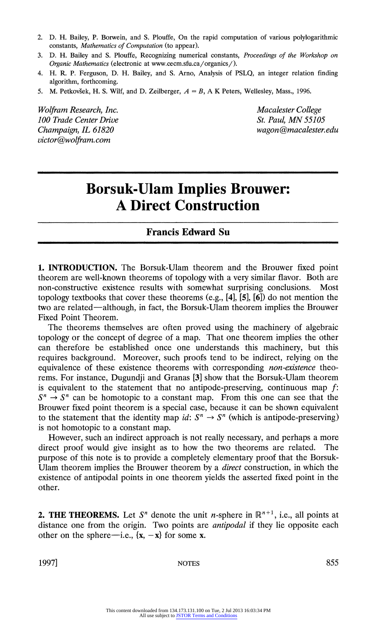- 2. D. H. Bailey, P. Borwein, and S. Plouffe, On the rapid computation of various polylogarithmic constants, *Mathematics of Computation* (to appear).
- **3. D. H. Bailey and S. Plouffe, Recognizing numerical constants, Proceedings of the Workshop on Orgarlic Mathematics (electronic at www.cecm.sfu.ca/organics/).**
- **4. H. R. P. Ferguson, D. H. Bailey, and S. Arno, Analysis of PSLQ, an integer relation finding algorithm, forthcoming.**
- 5. M. Petkovšek, H. S. Wilf, and D. Zeilberger,  $A = B$ , A K Peters, Wellesley, Mass., 1996.

Wolfram Research, Inc.<br>
100 Trade Center Drive<br>
100 Trade Center Drive **100 Trade Center Drive victor@wolfram.com** 

**Champaign, IL 61820 wagon(Rmacalester.edu** 

## **Borsuk-Ulam Implies Brouwer: A Direct Construction**

#### **Francis Edward Su**

**1. INTRODUCTION. The Borsuk-Ulam theorem and the Brouwer fixed point theorem are well-known theorems of topology with a very similar flavor. Both are non-constructive existence results with somewhat surprising conclusions. Most**  topology textbooks that cover these theorems  $(e.g., [4], [5], [6])$  do not mention the **two are related- although, in fact, the Borsuk-Ulam theorem implies the Brouwer Fixed Point Theorem.** 

**The theorems themselves are often proved using the machinery of algebraic topology or the concept of degree of a map. That one theorem implies the other**  can therefore be established once one understands this machinery, but this **requires background. Moreover, such proofs tend to be indirect, relying on the equivalence of these existence theorems with corresponding non-existence theorems. For instance, Dugundji and Granas [3] show that the Borsuk-Ulam theorem is equivalent to the statement that no antipode-preserving, continuous map f:**   $S^n \to S^n$  can be homotopic to a constant map. From this one can see that the **Brouwer fixed point theorem is a special case, because it can be shown equivalent**  to the statement that the identity map *id*:  $S^n \rightarrow S^n$  (which is antipode-preserving) **is not homotopic to a constant map.** 

**However, such an indirect approach is not really necessary, and perhaps a more direct proof would give insight as to how the two theorems are related. The purpose of this note is to provide a completely elementary proof that the Borsuk-Ulam theorem implies the Brouwer theorem by a direct construction, in which the existence of antipodal points in one theorem yields the asserted fixed point in the other.** 

**2. THE THEOREMS.** Let  $S<sup>n</sup>$  denote the unit *n*-sphere in  $\mathbb{R}^{n+1}$ , i.e., all points at **distance one from the origin. Two points are antipodal if they lie opposite each**  other on the sphere—i.e.,  $\{x, -x\}$  for some x.

**1997] NOTES 855**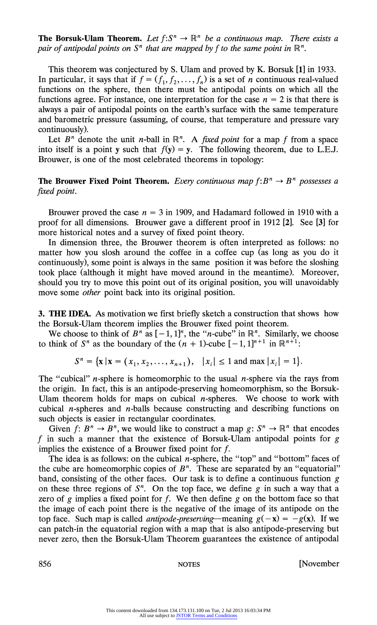*pair of antipodal points on S<sup>n</sup> that are mapped by f to the same point in* $\mathbb{R}^n$ **.** 

**This theorem was conjectured by S. Ulam and proved by K. Borsuk [1] in 1933.**  In particular, it says that if  $f = (f_1, f_2, \ldots, f_n)$  is a set of *n* continuous real-valued functions on the sphere, then there must be antipodal points on which all the functions agree. For instance, one interpretation for the case  $n = 2$  is that there is **always a pair of antipodal points on the earth's surface with the same temperature and barometric pressure (assuming, of course, that temperature and pressure vary continuously). The Borsuk-Ulam Theorem.** *Let*  $f: S^n \to \mathbb{R}^n$  *be a continuous map. There exist pair of antipodal points on*  $S^n$  *that are mapped by f to the same point in*  $\mathbb{R}^n$ . This theorem was conjectured by S. Ulam and pro

Let  $B^n$  denote the unit *n*-ball in  $\mathbb{R}^n$ . A *fixed point* for a map *f* from a space into itself is a point y such that  $f(y) = y$ . The following theorem, due to L.E.J. **Brouwer, is one of the most celebrated theorems in topology:** 

Brouwer proved the case  $n = 3$  in 1909, and Hadamard followed in 1910 with a **proof for all dimensions. Brouwer gave a different proof in 1912 [2]. See [3] for more historical notes and a survey of fixed point theory.** 

**In dimension three, the Brouwer theorem is often interpreted as follows: no matter how you slosh around the coffee in a coffee cup (as long as you do it continuously), some point is always in the same position it was before the sloshing took place (although it might have moved around in the meantime). Moreover, should you try to move this point out of its original position, you will unavoidably move some other point back into its original position.** 

**3. THE IDEA. As motivation we first briefly sketch a construction that shows how the Borsuk-Ulam theorem implies the Brouwer fixed point theorem.** 

We choose to think of  $B^n$  as  $[-1, 1]^n$ , the "*n*-cube" in  $\mathbb{R}^n$ . Similarly, we choose **to think of S<sup>n</sup> as the boundary of the**  $(n + 1)$ **-cube**  $[-1, 1]^{n+1}$  **in**  $\mathbb{R}^{n+1}$ **.** 

 $S^n = {\mathbf{x} | \mathbf{x} = (x_1, x_2, \dots, x_{n+1}), |x_i| \leq 1 \text{ and } \max |x_i| = 1}.$ 

**The "cubical" n-sphere is homeomorphic to the usual n-sphere via the rays from the origin. In fact, this is an antipode-preserving homeomorphism, so the Borsuk-Ulam theorem holds for maps on cubical n-spheres. We choose to work with cubical n-spheres and n-balls because constructing and describing functions on such objects is easier in rectangular coordinates.** 

Given  $f: B^n \to B^n$ , we would like to construct a map  $g: S^n \to \mathbb{R}^n$  that encodes **t in such a manner that the existence of Borsuk-Ulam antipodal points for g implies the existence of a Brouwer fixed point for f.** 

**The idea is as follows: on the cubical n-sphere, the "top" and "bottom" faces of**  the cube are homeomorphic copies of  $B<sup>n</sup>$ . These are separated by an "equatorial" band, consisting of the other faces. Our task is to define a continuous function  $g$ on these three regions of  $S<sup>n</sup>$ . On the top face, we define g in such a way that a **zero of g implies a fixed point for f. We then define g on the bottom face so that the image of each point there is the negative of the image of its antipode on the**  top face. Such map is called *antipode-preserving*—meaning  $g(-x) = -g(x)$ . If we **can patch-in the equatorial region with a map that is also antipode-preserving but never zero, then the Borsuk-Ulam Theorem guarantees the existence of antipodal** 

**856 NOTES [November**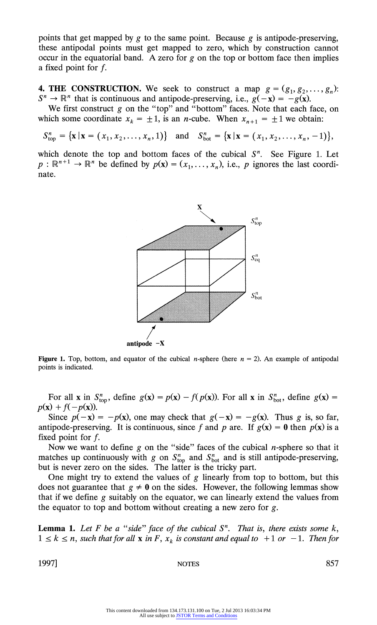points that get mapped by g to the same point. Because g is antipode-preserving, **these antipodal points must get mapped to zero, which by construction cannot occur in the equatorial band. A zero for g on the top or bottom face then implies a fixed point for f.** 

**4. THE CONSTRUCTION.** We seek to construct a map  $g = (g_1, g_2, \ldots, g_n)$ :  $S^n \to \mathbb{R}^n$  that is continuous and antipode-preserving, i.e.,  $g(-x) = -g(x)$ .

We first construct g on the "top" and "bottom" faces. Note that each face, on which some coordinate  $x_k = \pm 1$ , is an *n*-cube. When  $x_{n+1} = \pm 1$  we obtain:

 $S_{\text{top}}^n = {\mathbf{x} | \mathbf{x} = (x_1, x_2, \dots, x_n, 1)}$  and  $S_{\text{bot}}^n = {\mathbf{x} | \mathbf{x} = (x_1, x_2, \dots, x_n, -1)},$ 

which denote the top and bottom faces of the cubical  $S<sup>n</sup>$ . See Figure 1. Let  $p: \mathbb{R}^{n+1} \to \mathbb{R}^n$  be defined by  $p(\mathbf{x}) = (x_1, \dots, x_n)$ , i.e., p ignores the last coordi**nate.** 



**antipode -X** 

**Figure 1.** Top, bottom, and equator of the cubical *n*-sphere (here  $n = 2$ ). An example of antipodal **points is indicated.** 

For all **x** in  $S_{\text{top}}^n$ , define  $g(\mathbf{x}) = p(\mathbf{x}) - f(p(\mathbf{x}))$ . For all **x** in  $S_{\text{bot}}^n$ , define  $g(\mathbf{x}) =$  $p(x) + f(-p(x)).$ 

Since  $p(-x) = -p(x)$ , one may check that  $g(-x) = -g(x)$ . Thus g is, so far, **antipode-preserving.** It is continuous, since f and p are. If  $g(x) = 0$  then  $p(x)$  is a **fixed point for f.** 

**Now we want to define g on the "side" faces of the cubical n-sphere so that it**  matches up continuously with g on  $S_{\text{top}}^n$  and  $S_{\text{bot}}^n$  and is still antipode-preserving, **but is never zero on the sides. The latter is the tricky part.** 

**One might try to extend the values of g linearly from top to bottom, but this**  does not guarantee that  $g \neq 0$  on the sides. However, the following lemmas show **that if we define g suitably on the equator, we can linearly extend the values from the equator to top and bottom without creating a new zero for g.** 

**Lemma 1.** Let  $F$  be a "side" face of the cubical  $S<sup>n</sup>$ . That is, there exists some  $k$ ,  $1 \leq k \leq n$ , such that for all **x** in F,  $x_k$  is constant and equal to  $+1$  or  $-1$ . Then for

**1997] NOTES 857**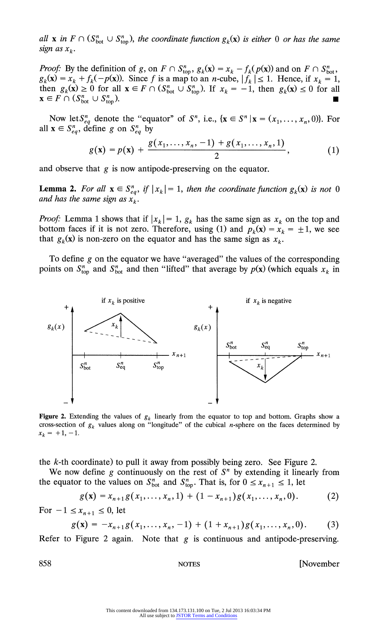**all x** in  $F \cap (S_{\text{bot}}^n \cup S_{\text{top}}^n)$ , the coordinate function  $g_k(\mathbf{x})$  is either 0 or has the same  $sign as x_k$ .

**Proof:** By the definition of  $g$ , on  $F \cap S_{\text{top}}^n$ ,  $g_k(\mathbf{x}) = x_k - f_k(p(\mathbf{x}))$  and on  $F \cap S_{\text{bot}}^n$ ,  $g_k(\mathbf{x}) = x_k + f_k(-p(\mathbf{x}))$ . Since f is a map to an *n*-cube,  $|f_k| \le 1$ . Hence, if  $x_k = 1$ , then  $g_k(\mathbf{x}) \ge 0$  for all  $\mathbf{x} \in F \cap (S_{\text{bot}}^n \cup S_{\text{top}}^n)$ . If  $x_k = -1$ , then  $g_k(\mathbf{x}) \le 0$  for all  $\mathbf{x} \in F \cap (S_{\text{bot}}^n \cup S_{\text{top}}^n).$ 

Now let  $S_{eq}^n$  denote the "equator" of  $S^n$ , i.e.,  $\{x \in S^n | x = (x_1, \ldots, x_n, 0)\}$ . For all  $\mathbf{x} \in S_{eq}^n$ , define *g* on  $S_{eq}^n$  by

$$
g(\mathbf{x}) = p(\mathbf{x}) + \frac{g(x_1, \ldots, x_n, -1) + g(x_1, \ldots, x_n, 1)}{2}, \qquad (1)
$$

**and observe that g is now antipode-preserving on the equator.** 

**Lemma 2.** For all  $\mathbf{x} \in S_{eq}^n$ , if  $|x_k| = 1$ , then the coordinate function  $g_k(\mathbf{x})$  is not 0 and has the same sign as  $\hat{x_k}$ .

**Proof:** Lemma 1 shows that if  $|x_k| = 1$ ,  $g_k$  has the same sign as  $x_k$  on the top and bottom faces if it is not zero. Therefore, using (1) and  $p_k(\mathbf{x}) = x_k = \pm 1$ , we see that  $g_k(x)$  is non-zero on the equator and has the same sign as  $x_k$ .

**To define g on the equator we have "averaged" the values of the corresponding**  points on  $S_{\text{top}}^n$  and  $S_{\text{bot}}^n$  and then "lifted" that average by  $p(\mathbf{x})$  (which equals  $x_k$  in



**Figure 2.** Extending the values of  $g_k$  linearly from the equator to top and bottom. Graphs show a cross-section of  $g_k$  values along on "longitude" of the cubical *n*-sphere on the faces determined by  $x_k = +1, -1.$ 

**the k-th coordinate) to pull it away from possibly being zero. See Figure 2.** 

We now define  $g$  continuously on the rest of  $S<sup>n</sup>$  by extending it linearly from the equator to the values on  $S_{\text{bot}}^n$  and  $S_{\text{top}}^n$ . That is, for  $0 \le x_{n+1} \le 1$ , let

$$
g(\mathbf{x}) = x_{n+1} g(x_1, \dots, x_n, 1) + (1 - x_{n+1}) g(x_1, \dots, x_n, 0). \tag{2}
$$

For  $-1 \le x_{n+1} \le 0$ , let

$$
g(\mathbf{x}) = -x_{n+1}g(x_1,\ldots,x_n,-1) + (1+x_{n+1})g(x_1,\ldots,x_n,0). \hspace{1cm} (3)
$$

Refer to Figure 2 again. Note that  $g$  is continuous and antipode-preserving.

**858 NOTES [November**